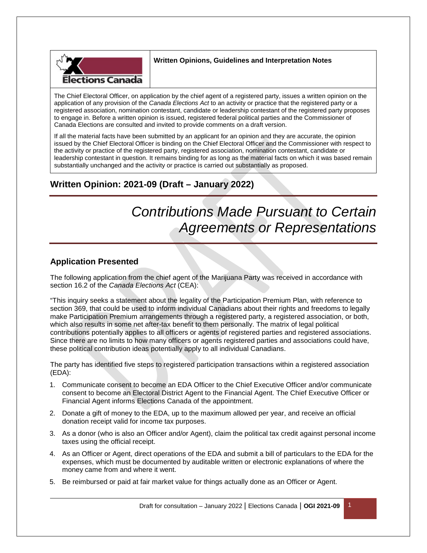

## **Written Opinions, Guidelines and Interpretation Notes**

The Chief Electoral Officer, on application by the chief agent of a registered party, issues a written opinion on the application of any provision of the *Canada Elections Act* to an activity or practice that the registered party or a registered association, nomination contestant, candidate or leadership contestant of the registered party proposes to engage in. Before a written opinion is issued, registered federal political parties and the Commissioner of Canada Elections are consulted and invited to provide comments on a draft version.

If all the material facts have been submitted by an applicant for an opinion and they are accurate, the opinion issued by the Chief Electoral Officer is binding on the Chief Electoral Officer and the Commissioner with respect to the activity or practice of the registered party, registered association, nomination contestant, candidate or leadership contestant in question. It remains binding for as long as the material facts on which it was based remain substantially unchanged and the activity or practice is carried out substantially as proposed.

## **Written Opinion: 2021-09 (Draft – January 2022)**

# *Contributions Made Pursuant to Certain Agreements or Representations*

## **Application Presented**

The following application from the chief agent of the Marijuana Party was received in accordance with section 16.2 of the *Canada Elections Act* (CEA):

"This inquiry seeks a statement about the legality of the Participation Premium Plan, with reference to section 369, that could be used to inform individual Canadians about their rights and freedoms to legally make Participation Premium arrangements through a registered party, a registered association, or both, which also results in some net after-tax benefit to them personally. The matrix of legal political contributions potentially applies to all officers or agents of registered parties and registered associations. Since there are no limits to how many officers or agents registered parties and associations could have, these political contribution ideas potentially apply to all individual Canadians.

The party has identified five steps to registered participation transactions within a registered association (EDA):

- 1. Communicate consent to become an EDA Officer to the Chief Executive Officer and/or communicate consent to become an Electoral District Agent to the Financial Agent. The Chief Executive Officer or Financial Agent informs Elections Canada of the appointment.
- 2. Donate a gift of money to the EDA, up to the maximum allowed per year, and receive an official donation receipt valid for income tax purposes.
- 3. As a donor (who is also an Officer and/or Agent), claim the political tax credit against personal income taxes using the official receipt.
- 4. As an Officer or Agent, direct operations of the EDA and submit a bill of particulars to the EDA for the expenses, which must be documented by auditable written or electronic explanations of where the money came from and where it went.
- 5. Be reimbursed or paid at fair market value for things actually done as an Officer or Agent.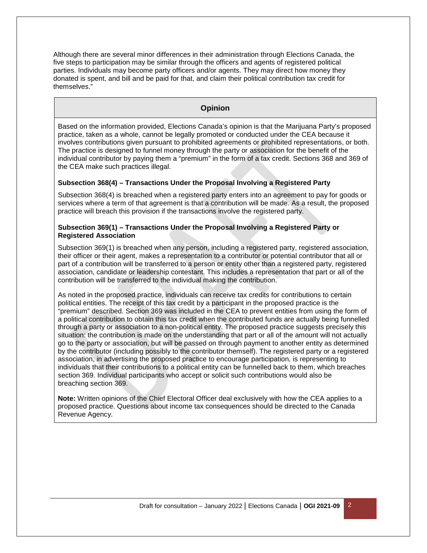Although there are several minor differences in their administration through Elections Canada, the five steps to participation may be similar through the officers and agents of registered political parties. Individuals may become party officers and/or agents. They may direct how money they donated is spent, and bill and be paid for that, and claim their political contribution tax credit for themselves."

## **Opinion**

Based on the information provided, Elections Canada's opinion is that the Marijuana Party's proposed practice, taken as a whole, cannot be legally promoted or conducted under the CEA because it involves contributions given pursuant to prohibited agreements or prohibited representations, or both. The practice is designed to funnel money through the party or association for the benefit of the individual contributor by paying them a "premium" in the form of a tax credit. Sections 368 and 369 of the CEA make such practices illegal.

#### **Subsection 368(4) – Transactions Under the Proposal Involving a Registered Party**

Subsection 368(4) is breached when a registered party enters into an agreement to pay for goods or services where a term of that agreement is that a contribution will be made. As a result, the proposed practice will breach this provision if the transactions involve the registered party.

#### **Subsection 369(1) – Transactions Under the Proposal Involving a Registered Party or Registered Association**

Subsection 369(1) is breached when any person, including a registered party, registered association, their officer or their agent, makes a representation to a contributor or potential contributor that all or part of a contribution will be transferred to a person or entity other than a registered party, registered association, candidate or leadership contestant. This includes a representation that part or all of the contribution will be transferred to the individual making the contribution.

As noted in the proposed practice, individuals can receive tax credits for contributions to certain political entities. The receipt of this tax credit by a participant in the proposed practice is the "premium" described. Section 369 was included in the CEA to prevent entities from using the form of a political contribution to obtain this tax credit when the contributed funds are actually being funnelled through a party or association to a non-political entity. The proposed practice suggests precisely this situation: the contribution is made on the understanding that part or all of the amount will not actually go to the party or association, but will be passed on through payment to another entity as determined by the contributor (including possibly to the contributor themself). The registered party or a registered association, in advertising the proposed practice to encourage participation, is representing to individuals that their contributions to a political entity can be funnelled back to them, which breaches section 369. Individual participants who accept or solicit such contributions would also be breaching section 369.

**Note:** Written opinions of the Chief Electoral Officer deal exclusively with how the CEA applies to a proposed practice. Questions about income tax consequences should be directed to the Canada Revenue Agency.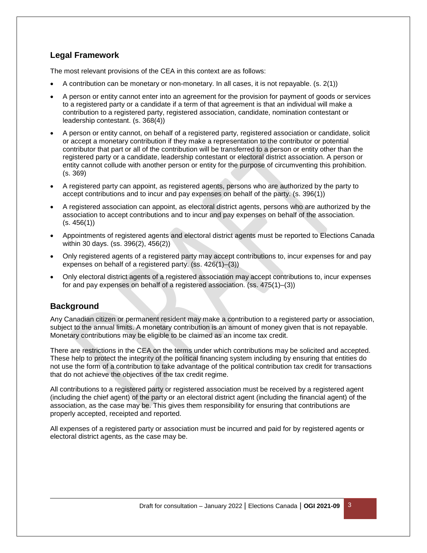## **Legal Framework**

The most relevant provisions of the CEA in this context are as follows:

- A contribution can be monetary or non-monetary. In all cases, it is not repayable. (s. 2(1))
- A person or entity cannot enter into an agreement for the provision for payment of goods or services to a registered party or a candidate if a term of that agreement is that an individual will make a contribution to a registered party, registered association, candidate, nomination contestant or leadership contestant. (s. 368(4))
- A person or entity cannot, on behalf of a registered party, registered association or candidate, solicit or accept a monetary contribution if they make a representation to the contributor or potential contributor that part or all of the contribution will be transferred to a person or entity other than the registered party or a candidate, leadership contestant or electoral district association. A person or entity cannot collude with another person or entity for the purpose of circumventing this prohibition. (s. 369)
- A registered party can appoint, as registered agents, persons who are authorized by the party to accept contributions and to incur and pay expenses on behalf of the party. (s. 396(1))
- A registered association can appoint, as electoral district agents, persons who are authorized by the association to accept contributions and to incur and pay expenses on behalf of the association.  $(s. 456(1))$
- Appointments of registered agents and electoral district agents must be reported to Elections Canada within 30 days. (ss. 396(2), 456(2))
- Only registered agents of a registered party may accept contributions to, incur expenses for and pay expenses on behalf of a registered party. (ss. 426(1)–(3))
- Only electoral district agents of a registered association may accept contributions to, incur expenses for and pay expenses on behalf of a registered association. (ss. 475(1)–(3))

## **Background**

Any Canadian citizen or permanent resident may make a contribution to a registered party or association, subject to the annual limits. A monetary contribution is an amount of money given that is not repayable. Monetary contributions may be eligible to be claimed as an income tax credit.

There are restrictions in the CEA on the terms under which contributions may be solicited and accepted. These help to protect the integrity of the political financing system including by ensuring that entities do not use the form of a contribution to take advantage of the political contribution tax credit for transactions that do not achieve the objectives of the tax credit regime.

All contributions to a registered party or registered association must be received by a registered agent (including the chief agent) of the party or an electoral district agent (including the financial agent) of the association, as the case may be. This gives them responsibility for ensuring that contributions are properly accepted, receipted and reported.

All expenses of a registered party or association must be incurred and paid for by registered agents or electoral district agents, as the case may be.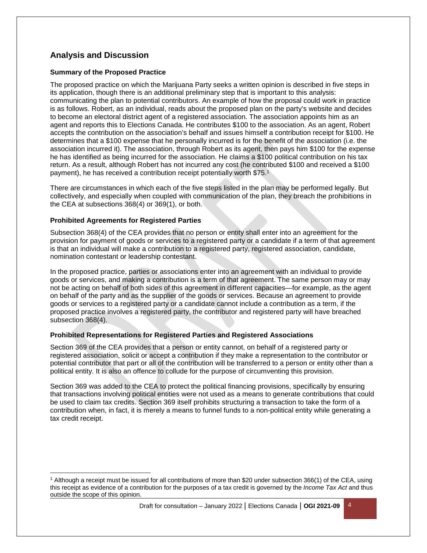## **Analysis and Discussion**

### **Summary of the Proposed Practice**

The proposed practice on which the Marijuana Party seeks a written opinion is described in five steps in its application, though there is an additional preliminary step that is important to this analysis: communicating the plan to potential contributors. An example of how the proposal could work in practice is as follows. Robert, as an individual, reads about the proposed plan on the party's website and decides to become an electoral district agent of a registered association. The association appoints him as an agent and reports this to Elections Canada. He contributes \$100 to the association. As an agent, Robert accepts the contribution on the association's behalf and issues himself a contribution receipt for \$100. He determines that a \$100 expense that he personally incurred is for the benefit of the association (i.e. the association incurred it). The association, through Robert as its agent, then pays him \$100 for the expense he has identified as being incurred for the association. He claims a \$100 political contribution on his tax return. As a result, although Robert has not incurred any cost (he contributed \$100 and received a \$100 payment), he has received a contribution receipt potentially worth \$75.<sup>1</sup>

There are circumstances in which each of the five steps listed in the plan may be performed legally. But collectively, and especially when coupled with communication of the plan, they breach the prohibitions in the CEA at subsections 368(4) or 369(1), or both.

#### **Prohibited Agreements for Registered Parties**

Subsection 368(4) of the CEA provides that no person or entity shall enter into an agreement for the provision for payment of goods or services to a registered party or a candidate if a term of that agreement is that an individual will make a contribution to a registered party, registered association, candidate, nomination contestant or leadership contestant.

In the proposed practice, parties or associations enter into an agreement with an individual to provide goods or services, and making a contribution is a term of that agreement. The same person may or may not be acting on behalf of both sides of this agreement in different capacities—for example, as the agent on behalf of the party and as the supplier of the goods or services. Because an agreement to provide goods or services to a registered party or a candidate cannot include a contribution as a term, if the proposed practice involves a registered party, the contributor and registered party will have breached subsection 368(4).

#### **Prohibited Representations for Registered Parties and Registered Associations**

Section 369 of the CEA provides that a person or entity cannot, on behalf of a registered party or registered association, solicit or accept a contribution if they make a representation to the contributor or potential contributor that part or all of the contribution will be transferred to a person or entity other than a political entity. It is also an offence to collude for the purpose of circumventing this provision.

Section 369 was added to the CEA to protect the political financing provisions, specifically by ensuring that transactions involving political entities were not used as a means to generate contributions that could be used to claim tax credits. Section 369 itself prohibits structuring a transaction to take the form of a contribution when, in fact, it is merely a means to funnel funds to a non-political entity while generating a tax credit receipt.

<sup>1</sup> Although a receipt must be issued for all contributions of more than \$20 under subsection 366(1) of the CEA, using this receipt as evidence of a contribution for the purposes of a tax credit is governed by the *Income Tax Act* and thus outside the scope of this opinion.